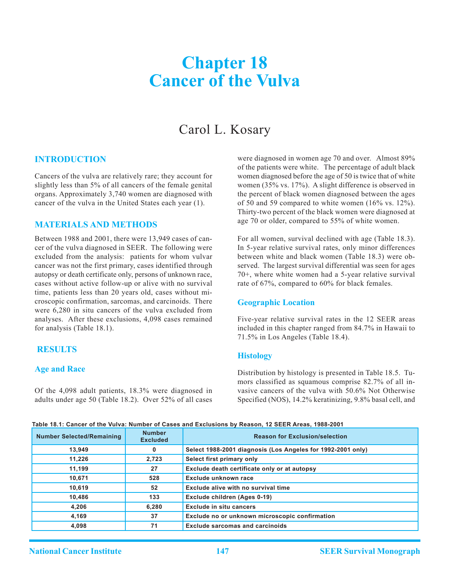# **Chapter 18 Cancer of the Vulva**

## Carol L. Kosary

#### **Introduction**

Cancers of the vulva are relatively rare; they account for slightly less than 5% of all cancers of the female genital organs. Approximately 3,740 women are diagnosed with cancer of the vulva in the United States each year (1).

#### **Materials and Methods**

Between 1988 and 2001, there were 13,949 cases of cancer of the vulva diagnosed in SEER. The following were excluded from the analysis: patients for whom vulvar cancer was not the first primary, cases identified through autopsy or death certificate only, persons of unknown race, cases without active follow-up or alive with no survival time, patients less than 20 years old, cases without microscopic confirmation, sarcomas, and carcinoids. There were 6,280 in situ cancers of the vulva excluded from analyses. After these exclusions, 4,098 cases remained for analysis (Table 18.1).

#### **Results**

#### **Age and Race**

Of the 4,098 adult patients, 18.3% were diagnosed in adults under age 50 (Table 18.2). Over 52% of all cases were diagnosed in women age 70 and over. Almost 89% of the patients were white. The percentage of adult black women diagnosed before the age of 50 is twice that of white women (35% vs. 17%). A slight difference is observed in the percent of black women diagnosed between the ages of 50 and 59 compared to white women (16% vs. 12%). Thirty-two percent of the black women were diagnosed at age 70 or older, compared to 55% of white women.

For all women, survival declined with age (Table 18.3). In 5-year relative survival rates, only minor differences between white and black women (Table 18.3) were observed. The largest survival differential was seen for ages 70+, where white women had a 5-year relative survival rate of 67%, compared to 60% for black females.

#### **Geographic Location**

Five-year relative survival rates in the 12 SEER areas included in this chapter ranged from 84.7% in Hawaii to 71.5% in Los Angeles (Table 18.4).

#### **Histology**

Distribution by histology is presented in Table 18.5. Tumors classified as squamous comprise 82.7% of all invasive cancers of the vulva with 50.6% Not Otherwise Specified (NOS), 14.2% keratinizing, 9.8% basal cell, and

| Table 18.1: Cancer of the Vulva: Number of Cases and Exclusions by Reason, 12 SEER Areas, 1988-2001 |  |
|-----------------------------------------------------------------------------------------------------|--|
|-----------------------------------------------------------------------------------------------------|--|

| <b>Number Selected/Remaining</b> | <b>Number</b><br><b>Excluded</b> | <b>Reason for Exclusion/selection</b>                       |
|----------------------------------|----------------------------------|-------------------------------------------------------------|
| 13,949                           | $\mathbf{0}$                     | Select 1988-2001 diagnosis (Los Angeles for 1992-2001 only) |
| 11,226                           | 2,723                            | Select first primary only                                   |
| 11,199                           | 27                               | Exclude death certificate only or at autopsy                |
| 10,671                           | 528                              | Exclude unknown race                                        |
| 10,619                           | 52                               | Exclude alive with no survival time                         |
| 10,486                           | 133                              | Exclude children (Ages 0-19)                                |
| 4,206                            | 6,280                            | <b>Exclude in situ cancers</b>                              |
| 4,169                            | 37                               | Exclude no or unknown microscopic confirmation              |
| 4.098                            | 71                               | <b>Exclude sarcomas and carcinoids</b>                      |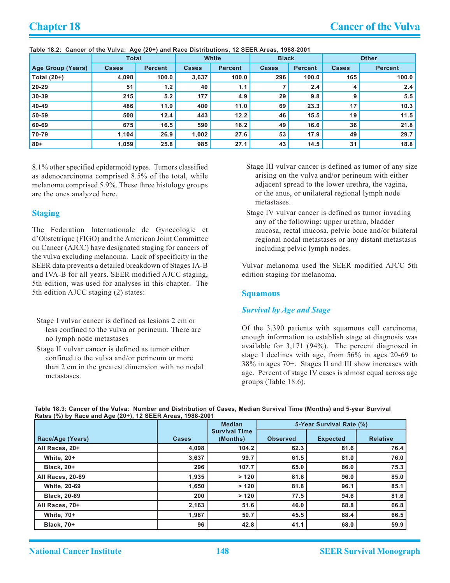|                   | <b>Total</b> |         | White        |                | <b>Black</b> |                | <b>Other</b> |                |  |
|-------------------|--------------|---------|--------------|----------------|--------------|----------------|--------------|----------------|--|
| Age Group (Years) | <b>Cases</b> | Percent | <b>Cases</b> | <b>Percent</b> | <b>Cases</b> | <b>Percent</b> | <b>Cases</b> | <b>Percent</b> |  |
| Total $(20+)$     | 4,098        | 100.0   | 3,637        | 100.0          | 296          | 100.0          | 165          | 100.0          |  |
| $20 - 29$         | 51           | 1.2     | 40           | 1.1            |              | 2.4            | 4            | 2.4            |  |
| $30 - 39$         | 215          | 5.2     | 177          | 4.9            | 29           | 9.8            | 9            | 5.5            |  |
| 40-49             | 486          | 11.9    | 400          | 11.0           | 69           | 23.3           | 17           | 10.3           |  |
| 50-59             | 508          | 12.4    | 443          | 12.2           | 46           | 15.5           | 19           | 11.5           |  |
| 60-69             | 675          | 16.5    | 590          | 16.2           | 49           | 16.6           | 36           | 21.8           |  |
| 70-79             | 1,104        | 26.9    | 1,002        | 27.6           | 53           | 17.9           | 49           | 29.7           |  |
| $80 +$            | 1,059        | 25.8    | 985          | 27.1           | 43           | 14.5           | 31           | 18.8           |  |

**Table 18.2: Cancer of the Vulva: Age (20+) and Race Distributions, 12 SEER Areas, 1988-2001**

8.1% other specified epidermoid types. Tumors classified as adenocarcinoma comprised 8.5% of the total, while melanoma comprised 5.9%. These three histology groups are the ones analyzed here.

#### **Staging**

The Federation Internationale de Gynecologie et d'Obstetrique (FIGO) and the American Joint Committee on Cancer (AJCC) have designated staging for cancers of the vulva excluding melanoma. Lack of specificity in the SEER data prevents a detailed breakdown of Stages IA-B and IVA-B for all years. SEER modified AJCC staging, 5th edition, was used for analyses in this chapter. The 5th edition AJCC staging (2) states:

- Stage I vulvar cancer is defined as lesions 2 cm or less confined to the vulva or perineum. There are no lymph node metastases
- Stage II vulvar cancer is defined as tumor either confined to the vulva and/or perineum or more than 2 cm in the greatest dimension with no nodal metastases.
- Stage III vulvar cancer is defined as tumor of any size arising on the vulva and/or perineum with either adjacent spread to the lower urethra, the vagina, or the anus, or unilateral regional lymph node metastases.
- Stage IV vulvar cancer is defined as tumor invading any of the following: upper urethra, bladder mucosa, rectal mucosa, pelvic bone and/or bilateral regional nodal metastases or any distant metastasis including pelvic lymph nodes.

Vulvar melanoma used the SEER modified AJCC 5th edition staging for melanoma.

#### **Squamous**

#### *Survival by Age and Stage*

Of the 3,390 patients with squamous cell carcinoma, enough information to establish stage at diagnosis was available for 3,171 (94%). The percent diagnosed in stage I declines with age, from 56% in ages 20-69 to 38% in ages 70+. Stages II and III show increases with age. Percent of stage IV cases is almost equal across age groups (Table 18.6).

|                     | <b>Median</b> |                                  | 5-Year Survival Rate (%) |                 |                 |  |  |  |  |
|---------------------|---------------|----------------------------------|--------------------------|-----------------|-----------------|--|--|--|--|
| Race/Age (Years)    | <b>Cases</b>  | <b>Survival Time</b><br>(Months) | <b>Observed</b>          | <b>Expected</b> | <b>Relative</b> |  |  |  |  |
| All Races, 20+      | 4,098         | 104.2                            | 62.3                     | 81.6            | 76.4            |  |  |  |  |
| <b>White, 20+</b>   | 3,637         | 99.7                             | 61.5                     | 81.0            | 76.0            |  |  |  |  |
| <b>Black. 20+</b>   | 296           | 107.7                            | 65.0                     | 86.0            | 75.3            |  |  |  |  |
| All Races, 20-69    | 1,935         | >120                             | 81.6                     | 96.0            | 85.0            |  |  |  |  |
| <b>White, 20-69</b> | 1,650         | >120                             | 81.8                     | 96.1            | 85.1            |  |  |  |  |
| <b>Black, 20-69</b> | 200           | >120                             | 77.5                     | 94.6            | 81.6            |  |  |  |  |
| All Races, 70+      | 2,163         | 51.6                             | 46.0                     | 68.8            | 66.8            |  |  |  |  |
| <b>White. 70+</b>   | 1,987         | 50.7                             | 45.5                     | 68.4            | 66.5            |  |  |  |  |
| <b>Black, 70+</b>   | 96            | 42.8                             | 41.1                     | 68.0            | 59.9            |  |  |  |  |

#### **Table 18.3: Cancer of the Vulva: Number and Distribution of Cases, Median Survival Time (Months) and 5-year Survival Rates (%) by Race and Age (20+), 12 SEER Areas, 1988-2001**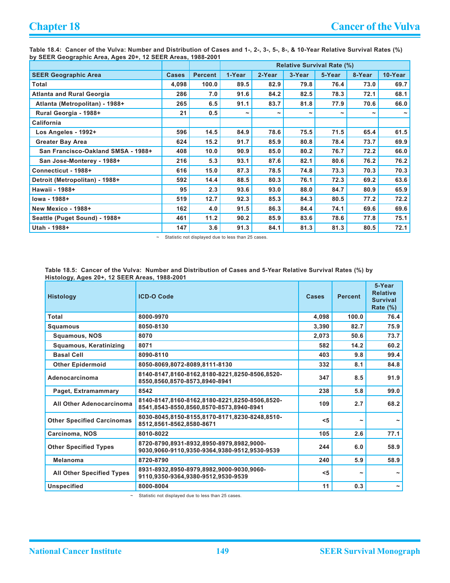**Table 18.4: Cancer of the Vulva: Number and Distribution of Cases and 1-, 2-, 3-, 5-, 8-, & 10-Year Relative Survival Rates (%) by SEER Geographic Area, Ages 20+, 12 SEER Areas, 1988-2001**

|                                    |              |                | <b>Relative Survival Rate (%)</b> |            |                       |            |        |                       |  |  |
|------------------------------------|--------------|----------------|-----------------------------------|------------|-----------------------|------------|--------|-----------------------|--|--|
| <b>SEER Geographic Area</b>        | <b>Cases</b> | <b>Percent</b> | 1-Year                            | 2-Year     | 3-Year                | 5-Year     | 8-Year | 10-Year               |  |  |
| Total                              | 4,098        | 100.0          | 89.5                              | 82.9       | 79.8                  | 76.4       | 73.0   | 69.7                  |  |  |
| <b>Atlanta and Rural Georgia</b>   | 286          | 7.0            | 91.6                              | 84.2       | 82.5                  | 78.3       | 72.1   | 68.1                  |  |  |
| Atlanta (Metropolitan) - 1988+     | 265          | 6.5            | 91.1                              | 83.7       | 81.8                  | 77.9       | 70.6   | 66.0                  |  |  |
| Rural Georgia - 1988+              | 21           | 0.5            | $\tilde{}$                        | $\tilde{}$ | $\tilde{\phantom{a}}$ | $\tilde{}$ | J      | $\tilde{\phantom{a}}$ |  |  |
| California                         |              |                |                                   |            |                       |            |        |                       |  |  |
| Los Angeles - 1992+                | 596          | 14.5           | 84.9                              | 78.6       | 75.5                  | 71.5       | 65.4   | 61.5                  |  |  |
| <b>Greater Bay Area</b>            | 624          | 15.2           | 91.7                              | 85.9       | 80.8                  | 78.4       | 73.7   | 69.9                  |  |  |
| San Francisco-Oakland SMSA - 1988+ | 408          | 10.0           | 90.9                              | 85.0       | 80.2                  | 76.7       | 72.2   | 66.0                  |  |  |
| San Jose-Monterey - 1988+          | 216          | 5.3            | 93.1                              | 87.6       | 82.1                  | 80.6       | 76.2   | 76.2                  |  |  |
| Connecticut - 1988+                | 616          | 15.0           | 87.3                              | 78.5       | 74.8                  | 73.3       | 70.3   | 70.3                  |  |  |
| Detroit (Metropolitan) - 1988+     | 592          | 14.4           | 88.5                              | 80.3       | 76.1                  | 72.3       | 69.2   | 63.6                  |  |  |
| Hawaii - 1988+                     | 95           | 2.3            | 93.6                              | 93.0       | 88.0                  | 84.7       | 80.9   | 65.9                  |  |  |
| lowa - 1988+                       | 519          | 12.7           | 92.3                              | 85.3       | 84.3                  | 80.5       | 77.2   | 72.2                  |  |  |
| New Mexico - 1988+                 | 162          | 4.0            | 91.5                              | 86.3       | 84.4                  | 74.1       | 69.6   | 69.6                  |  |  |
| Seattle (Puget Sound) - 1988+      | 461          | 11.2           | 90.2                              | 85.9       | 83.6                  | 78.6       | 77.8   | 75.1                  |  |  |
| Utah - 1988+                       | 147          | 3.6            | 91.3                              | 84.1       | 81.3                  | 81.3       | 80.5   | 72.1                  |  |  |

~ Statistic not displayed due to less than 25 cases.

**Table 18.5: Cancer of the Vulva: Number and Distribution of Cases and 5-Year Relative Survival Rates (%) by Histology, Ages 20+, 12 SEER Areas, 1988-2001**

| <b>Histology</b>                  | <b>ICD-O Code</b>                                                                        | <b>Cases</b> | <b>Percent</b> | 5-Year<br><b>Relative</b><br><b>Survival</b><br>Rate $(\%)$ |
|-----------------------------------|------------------------------------------------------------------------------------------|--------------|----------------|-------------------------------------------------------------|
| Total                             | 8000-9970                                                                                | 4,098        | 100.0          | 76.4                                                        |
| Squamous                          | 8050-8130                                                                                | 3,390        | 82.7           | 75.9                                                        |
| <b>Squamous, NOS</b>              | 8070                                                                                     | 2,073        | 50.6           | 73.7                                                        |
| Squamous, Keratinizing            | 8071                                                                                     | 582          | 14.2           | 60.2                                                        |
| <b>Basal Cell</b>                 | 8090-8110                                                                                | 403          | 9.8            | 99.4                                                        |
| <b>Other Epidermoid</b>           | 8050-8069.8072-8089.8111-8130                                                            | 332          | 8.1            | 84.8                                                        |
| Adenocarcinoma                    | 8140-8147.8160-8162.8180-8221.8250-8506.8520-<br>8550,8560,8570-8573,8940-8941           | 347          | 8.5            | 91.9                                                        |
| Paget, Extramammary               | 8542                                                                                     | 238          | 5.8            | 99.0                                                        |
| All Other Adenocarcinoma          | 8140-8147,8160-8162,8180-8221,8250-8506,8520-<br>8541,8543-8550,8560,8570-8573,8940-8941 | 109          | 2.7            | 68.2                                                        |
| <b>Other Specified Carcinomas</b> | 8030-8045,8150-8155,8170-8171,8230-8248,8510-<br>8512,8561-8562,8580-8671                | < 5          | ∼              |                                                             |
| Carcinoma, NOS                    | 8010-8022                                                                                | 105          | 2.6            | 77.1                                                        |
| <b>Other Specified Types</b>      | 8720-8790.8931-8932.8950-8979.8982.9000-<br>9030,9060-9110,9350-9364,9380-9512,9530-9539 | 244          | 6.0            | 58.9                                                        |
| <b>Melanoma</b>                   | 8720-8790                                                                                | 240          | 5.9            | 58.9                                                        |
| <b>All Other Specified Types</b>  | 8931-8932.8950-8979.8982.9000-9030.9060-<br>9110,9350-9364,9380-9512,9530-9539           | $<$ 5        | ∼              |                                                             |
| <b>Unspecified</b>                | 8000-8004                                                                                | 11           | 0.3            | $\tilde{\phantom{a}}$                                       |

~ Statistic not displayed due to less than 25 cases.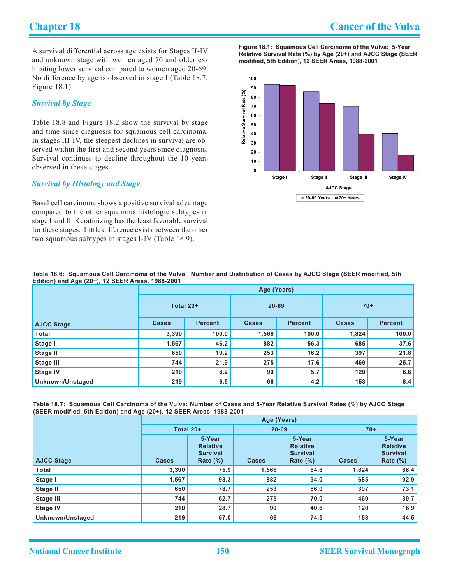A survival differential across age exists for Stages II-IV and unknown stage with women aged 70 and older exhibiting lower survival compared to women aged 20-69. No difference by age is observed in stage I (Table 18.7, Figure 18.1).

#### *Survival by Stage*

Table 18.8 and Figure 18.2 show the survival by stage and time since diagnosis for squamous cell carcinoma. In stages III-IV, the steepest declines in survival are observed within the first and second years since diagnosis. Survival continues to decline throughout the 10 years observed in these stages.

#### *Survival by Histology and Stage*

Basal cell carcinoma shows a positive survival advantage compared to the other squamous histologic subtypes in stage I and II. Keratinizing has the least favorable survival for these stages. Little difference exists between the other two squamous subtypes in stages I-IV (Table 18.9).

**Figure 18.1: Squamous Cell Carcinoma of the Vulva: 5-Year Relative Survival Rate (%) by Age (20+) and AJCC Stage (SEER modified, 5th Edition), 12 SEER Areas, 1988-2001**



|                                                  | Table 18.6: Squamous Cell Carcinoma of the Vulva: Number and Distribution of Cases by AJCC Stage (SEER modified, 5th |
|--------------------------------------------------|----------------------------------------------------------------------------------------------------------------------|
| Edition) and Age (20+), 12 SEER Areas, 1988-2001 |                                                                                                                      |

| $\sim$ $\sim$ $\sim$ |              | Age (Years)    |              |                |              |                |  |  |  |  |  |
|----------------------|--------------|----------------|--------------|----------------|--------------|----------------|--|--|--|--|--|
|                      | Total 20+    |                | $20 - 69$    |                | $70+$        |                |  |  |  |  |  |
| <b>AJCC Stage</b>    | <b>Cases</b> | <b>Percent</b> | <b>Cases</b> | <b>Percent</b> | <b>Cases</b> | <b>Percent</b> |  |  |  |  |  |
| <b>Total</b>         | 3,390        | 100.0          | 1,566        | 100.0          | 1,824        | 100.0          |  |  |  |  |  |
| Stage I              | 1,567        | 46.2           | 882          | 56.3           | 685          | 37.6           |  |  |  |  |  |
| Stage II             | 650          | 19.2           | 253          | 16.2           | 397          | 21.8           |  |  |  |  |  |
| Stage III            | 744          | 21.9           | 275          | 17.6           | 469          | 25.7           |  |  |  |  |  |
| <b>Stage IV</b>      | 210          | 6.2            | 90           | 5.7            | 120          | 6.6            |  |  |  |  |  |
| Unknown/Unstaged     | 219          | 6.5            | 66           | 4.2            | 153          | 8.4            |  |  |  |  |  |

**Table 18.7: Squamous Cell Carcinoma of the Vulva: Number of Cases and 5-Year Relative Survival Rates (%) by AJCC Stage (SEER modified, 5th Edition) and Age (20+), 12 SEER Areas, 1988-2001**

|                   | Age (Years)  |                                                             |              |                                                             |              |                                                             |  |  |  |  |
|-------------------|--------------|-------------------------------------------------------------|--------------|-------------------------------------------------------------|--------------|-------------------------------------------------------------|--|--|--|--|
|                   | Total 20+    |                                                             | $20 - 69$    |                                                             | $70+$        |                                                             |  |  |  |  |
| <b>AJCC Stage</b> | <b>Cases</b> | 5-Year<br><b>Relative</b><br><b>Survival</b><br>Rate $(\%)$ | <b>Cases</b> | 5-Year<br><b>Relative</b><br><b>Survival</b><br>Rate $(\%)$ | <b>Cases</b> | 5-Year<br><b>Relative</b><br><b>Survival</b><br>Rate $(\%)$ |  |  |  |  |
| Total             | 3,390        | 75.9                                                        | 1,566        | 84.8                                                        | 1,824        | 66.4                                                        |  |  |  |  |
| Stage I           | 1,567        | 93.3                                                        | 882          | 94.0                                                        | 685          | 92.9                                                        |  |  |  |  |
| Stage II          | 650          | 78.7                                                        | 253          | 86.0                                                        | 397          | 73.1                                                        |  |  |  |  |
| Stage III         | 744          | 52.7                                                        | 275          | 70.0                                                        | 469          | 39.7                                                        |  |  |  |  |
| <b>Stage IV</b>   | 210          | 28.7                                                        | 90           | 40.6                                                        | 120          | 16.9                                                        |  |  |  |  |
| Unknown/Unstaged  | 219          | 57.0                                                        | 66           | 74.5                                                        | 153          | 44.5                                                        |  |  |  |  |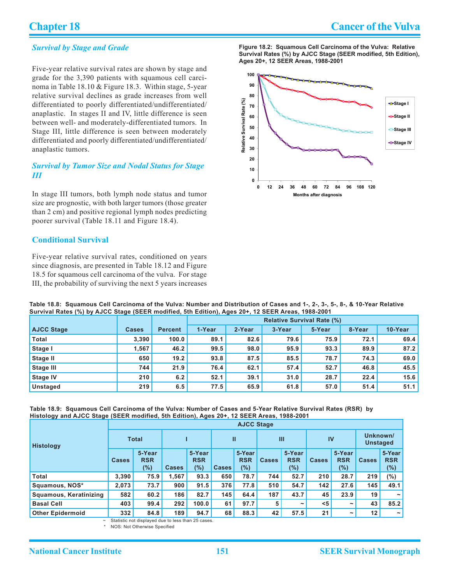#### *Survival by Stage and Grade*

Five-year relative survival rates are shown by stage and grade for the 3,390 patients with squamous cell carcinoma in Table 18.10 & Figure 18.3. Within stage, 5-year relative survival declines as grade increases from well differentiated to poorly differentiated/undifferentiated/ anaplastic. In stages II and IV, little difference is seen between well- and moderately-differentiated tumors. In Stage III, little difference is seen between moderately differentiated and poorly differentiated/undifferentiated/ anaplastic tumors.

#### *Survival by Tumor Size and Nodal Status for Stage III*

In stage III tumors, both lymph node status and tumor size are prognostic, with both larger tumors (those greater than 2 cm) and positive regional lymph nodes predicting poorer survival (Table 18.11 and Figure 18.4).

### **Conditional Survival**

Five-year relative survival rates, conditioned on years since diagnosis, are presented in Table 18.12 and Figure 18.5 for squamous cell carcinoma of the vulva. For stage III, the probability of surviving the next 5 years increases **Figure 18.2: Squamous Cell Carcinoma of the Vulva: Relative Survival Rates (%) by AJCC Stage (SEER modified, 5th Edition), Ages 20+, 12 SEER Areas, 1988-2001**



| Table 18.8: Squamous Cell Carcinoma of the Vulva: Number and Distribution of Cases and 1-, 2-, 3-, 5-, 8-, & 10-Year Relative |
|-------------------------------------------------------------------------------------------------------------------------------|
| Survival Rates (%) by AJCC Stage (SEER modified, 5th Edition), Ages 20+, 12 SEER Areas, 1988-2001                             |

|                   |              |                | <b>Relative Survival Rate (%)</b> |        |        |        |        |         |  |  |
|-------------------|--------------|----------------|-----------------------------------|--------|--------|--------|--------|---------|--|--|
| <b>AJCC Stage</b> | <b>Cases</b> | <b>Percent</b> | 1-Year                            | 2-Year | 3-Year | 5-Year | 8-Year | 10-Year |  |  |
| <b>Total</b>      | 3,390        | 100.0          | 89.1                              | 82.6   | 79.6   | 75.9   | 72.1   | 69.4    |  |  |
| Stage I           | 1.567        | 46.2           | 99.5                              | 98.0   | 95.9   | 93.3   | 89.9   | 87.2    |  |  |
| Stage II          | 650          | 19.2           | 93.8                              | 87.5   | 85.5   | 78.7   | 74.3   | 69.0    |  |  |
| <b>Stage III</b>  | 744          | 21.9           | 76.4                              | 62.1   | 57.4   | 52.7   | 46.8   | 45.5    |  |  |
| <b>Stage IV</b>   | 210          | 6.2            | 52.1                              | 39.1   | 31.0   | 28.7   | 22.4   | 15.6    |  |  |
| <b>Unstaged</b>   | 219          | 6.5            | 77.5                              | 65.9   | 61.8   | 57.0   | 51.4   | 51.1    |  |  |

#### **Table 18.9: Squamous Cell Carcinoma of the Vulva: Number of Cases and 5-Year Relative Survival Rates (RSR) by Histology and AJCC Stage (SEER modified, 5th Edition), Ages 20+, 12 SEER Areas, 1988-2001**

|                         | <b>AJCC Stage</b> |                             |              |                             |              |                             |              |                                |              |                             |                             |                             |
|-------------------------|-------------------|-----------------------------|--------------|-----------------------------|--------------|-----------------------------|--------------|--------------------------------|--------------|-----------------------------|-----------------------------|-----------------------------|
| <b>Histology</b>        | <b>Total</b>      |                             |              |                             | Ш            |                             | $\mathbf{m}$ |                                | IV           |                             | Unknown/<br><b>Unstaged</b> |                             |
|                         | <b>Cases</b>      | 5-Year<br><b>RSR</b><br>(%) | <b>Cases</b> | 5-Year<br><b>RSR</b><br>(%) | <b>Cases</b> | 5-Year<br><b>RSR</b><br>(%) | <b>Cases</b> | 5-Year<br><b>RSR</b><br>$(\%)$ | <b>Cases</b> | 5-Year<br><b>RSR</b><br>(%) | <b>Cases</b>                | 5-Year<br><b>RSR</b><br>(%) |
| <b>Total</b>            | 3.390             | 75.9                        | 1,567        | 93.3                        | 650          | 78.7                        | 744          | 52.7                           | 210          | 28.7                        | 219                         | $(\% )$                     |
| Squamous, NOS*          | 2,073             | 73.7                        | 900          | 91.5                        | 376          | 77.8                        | 510          | 54.7                           | 142          | 27.6                        | 145                         | 49.1                        |
| Squamous, Keratinizing  | 582               | 60.2                        | 186          | 82.7                        | 145          | 64.4                        | 187          | 43.7                           | 45           | 23.9                        | 19                          | $\tilde{\phantom{a}}$       |
| <b>Basal Cell</b>       | 403               | 99.4                        | 292          | 100.0                       | 61           | 97.7                        | 5            | $\tilde{}$                     | < 5          | $\tilde{\phantom{a}}$       | 43                          | 85.2                        |
| <b>Other Epidermoid</b> | 332               | 84.8                        | 189          | 94.7                        | 68           | 88.3                        | 42           | 57.5                           | 21           | $\tilde{}$                  | 12                          | $\tilde{\phantom{a}}$       |

Statistic not displayed due to less than 25 cases.

NOS: Not Otherwise Specified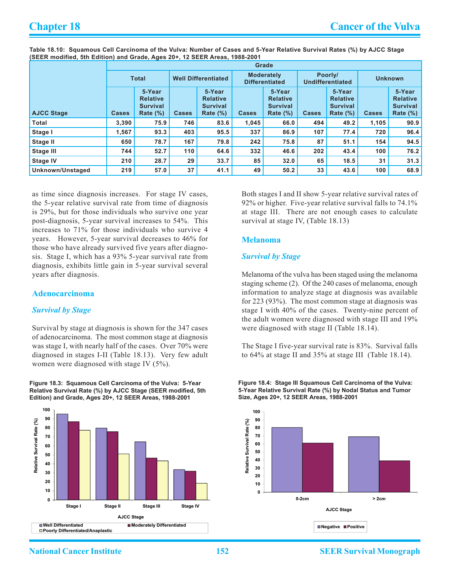**Table 18.10: Squamous Cell Carcinoma of the Vulva: Number of Cases and 5-Year Relative Survival Rates (%) by AJCC Stage (SEER modified, 5th Edition) and Grade, Ages 20+, 12 SEER Areas, 1988-2001**

|                   | Grade        |                                                             |                            |                                                             |                                            |                                                             |                                    |                                                             |                |                                                             |  |
|-------------------|--------------|-------------------------------------------------------------|----------------------------|-------------------------------------------------------------|--------------------------------------------|-------------------------------------------------------------|------------------------------------|-------------------------------------------------------------|----------------|-------------------------------------------------------------|--|
|                   | <b>Total</b> |                                                             | <b>Well Differentiated</b> |                                                             | <b>Moderately</b><br><b>Differentiated</b> |                                                             | Poorly/<br><b>Undifferentiated</b> |                                                             | <b>Unknown</b> |                                                             |  |
| <b>AJCC Stage</b> | <b>Cases</b> | 5-Year<br><b>Relative</b><br><b>Survival</b><br>Rate $(\%)$ | <b>Cases</b>               | 5-Year<br><b>Relative</b><br><b>Survival</b><br>Rate $(\%)$ | <b>Cases</b>                               | 5-Year<br><b>Relative</b><br><b>Survival</b><br>Rate $(\%)$ | <b>Cases</b>                       | 5-Year<br><b>Relative</b><br><b>Survival</b><br>Rate $(\%)$ | <b>Cases</b>   | 5-Year<br><b>Relative</b><br><b>Survival</b><br>Rate $(\%)$ |  |
| <b>Total</b>      | 3,390        | 75.9                                                        | 746                        | 83.6                                                        | 1,045                                      | 66.0                                                        | 494                                | 49.2                                                        | 1,105          | 90.9                                                        |  |
| Stage I           | 1,567        | 93.3                                                        | 403                        | 95.5                                                        | 337                                        | 86.9                                                        | 107                                | 77.4                                                        | 720            | 96.4                                                        |  |
| Stage II          | 650          | 78.7                                                        | 167                        | 79.8                                                        | 242                                        | 75.8                                                        | 87                                 | 51.1                                                        | 154            | 94.5                                                        |  |
| <b>Stage III</b>  | 744          | 52.7                                                        | 110                        | 64.6                                                        | 332                                        | 46.6                                                        | 202                                | 43.4                                                        | 100            | 76.2                                                        |  |
| <b>Stage IV</b>   | 210          | 28.7                                                        | 29                         | 33.7                                                        | 85                                         | 32.0                                                        | 65                                 | 18.5                                                        | 31             | 31.3                                                        |  |
| Unknown/Unstaged  | 219          | 57.0                                                        | 37                         | 41.1                                                        | 49                                         | 50.2                                                        | 33                                 | 43.6                                                        | 100            | 68.9                                                        |  |

as time since diagnosis increases. For stage IV cases, the 5-year relative survival rate from time of diagnosis is 29%, but for those individuals who survive one year post-diagnosis, 5-year survival increases to 54%. This increases to 71% for those individuals who survive 4 years. However, 5-year survival decreases to 46% for those who have already survived five years after diagnosis. Stage I, which has a 93% 5-year survival rate from diagnosis, exhibits little gain in 5-year survival several years after diagnosis.

#### **Adenocarcinoma**

#### *Survival by Stage*

Survival by stage at diagnosis is shown for the 347 cases of adenocarcinoma. The most common stage at diagnosis was stage I, with nearly half of the cases. Over 70% were diagnosed in stages I-II (Table 18.13). Very few adult women were diagnosed with stage IV (5%).

**Figure 18.3: Squamous Cell Carcinoma of the Vulva: 5-Year Relative Survival Rate (%) by AJCC Stage (SEER modified, 5th Edition) and Grade, Ages 20+, 12 SEER Areas, 1988-2001**



Both stages I and II show 5-year relative survival rates of 92% or higher. Five-year relative survival falls to 74.1% at stage III. There are not enough cases to calculate survival at stage IV, (Table 18.13)

#### **Melanoma**

#### *Survival by Stage*

Melanoma of the vulva has been staged using the melanoma staging scheme (2). Of the 240 cases of melanoma, enough information to analyze stage at diagnosis was available for 223 (93%). The most common stage at diagnosis was stage I with 40% of the cases. Twenty-nine percent of the adult women were diagnosed with stage III and 19% were diagnosed with stage II (Table 18.14).

The Stage I five-year survival rate is 83%. Survival falls to 64% at stage II and 35% at stage III (Table 18.14).

**Figure 18.4: Stage III Squamous Cell Carcinoma of the Vulva: 5-Year Relative Survival Rate (%) by Nodal Status and Tumor Size, Ages 20+, 12 SEER Areas, 1988-2001**

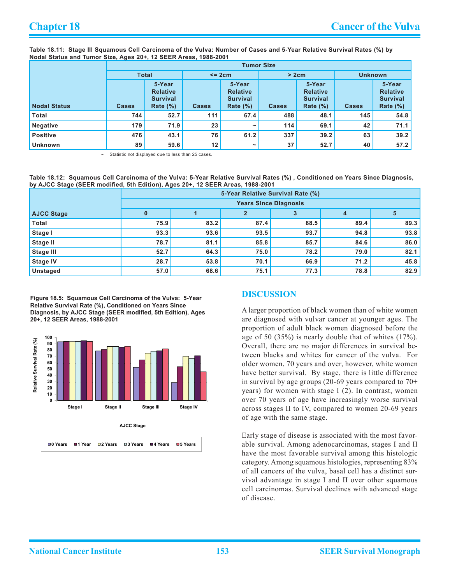**Table 18.11: Stage III Squamous Cell Carcinoma of the Vulva: Number of Cases and 5-Year Relative Survival Rates (%) by Nodal Status and Tumor Size, Ages 20+, 12 SEER Areas, 1988-2001**

|                     | <b>Tumor Size</b> |                                                             |                 |                                                             |              |                                                             |                |                                                             |  |  |
|---------------------|-------------------|-------------------------------------------------------------|-----------------|-------------------------------------------------------------|--------------|-------------------------------------------------------------|----------------|-------------------------------------------------------------|--|--|
|                     | <b>Total</b>      |                                                             | $< = 2cm$       |                                                             | > 2cm        |                                                             | <b>Unknown</b> |                                                             |  |  |
| <b>Nodal Status</b> | <b>Cases</b>      | 5-Year<br><b>Relative</b><br><b>Survival</b><br>Rate $(\%)$ | <b>Cases</b>    | 5-Year<br><b>Relative</b><br><b>Survival</b><br>Rate $(\%)$ | <b>Cases</b> | 5-Year<br><b>Relative</b><br><b>Survival</b><br>Rate $(\%)$ | <b>Cases</b>   | 5-Year<br><b>Relative</b><br><b>Survival</b><br>Rate $(\%)$ |  |  |
| <b>Total</b>        | 744               | 52.7                                                        | 111             | 67.4                                                        | 488          | 48.1                                                        | 145            | 54.8                                                        |  |  |
| <b>Negative</b>     | 179               | 71.9                                                        | 23              | $\tilde{\phantom{a}}$                                       | 114          | 69.1                                                        | 42             | 71.1                                                        |  |  |
| <b>Positive</b>     | 476               | 43.1                                                        | 76              | 61.2                                                        | 337          | 39.2                                                        | 63             | 39.2                                                        |  |  |
| <b>Unknown</b>      | 89                | 59.6                                                        | 12 <sub>2</sub> | $\tilde{\phantom{a}}$                                       | 37           | 52.7                                                        | 40             | 57.2                                                        |  |  |

Statistic not displayed due to less than 25 cases.

**Table 18.12: Squamous Cell Carcinoma of the Vulva: 5-Year Relative Survival Rates (%) , Conditioned on Years Since Diagnosis, by AJCC Stage (SEER modified, 5th Edition), Ages 20+, 12 SEER Areas, 1988-2001**

|                   | 5-Year Relative Survival Rate (%)          |      |      |      |      |      |  |  |  |  |  |  |
|-------------------|--------------------------------------------|------|------|------|------|------|--|--|--|--|--|--|
|                   | <b>Years Since Diagnosis</b>               |      |      |      |      |      |  |  |  |  |  |  |
| <b>AJCC Stage</b> | 5<br>$\mathbf 0$<br>$\mathbf{2}$<br>4<br>3 |      |      |      |      |      |  |  |  |  |  |  |
| <b>Total</b>      | 75.9                                       | 83.2 | 87.4 | 88.5 | 89.4 | 89.3 |  |  |  |  |  |  |
| Stage I           | 93.3                                       | 93.6 | 93.5 | 93.7 | 94.8 | 93.8 |  |  |  |  |  |  |
| Stage II          | 78.7                                       | 81.1 | 85.8 | 85.7 | 84.6 | 86.0 |  |  |  |  |  |  |
| <b>Stage III</b>  | 52.7                                       | 64.3 | 75.0 | 78.2 | 79.0 | 82.1 |  |  |  |  |  |  |
| <b>Stage IV</b>   | 28.7                                       | 53.8 | 70.1 | 66.9 | 71.2 | 45.8 |  |  |  |  |  |  |
| Unstaged          | 57.0                                       | 68.6 | 75.1 | 77.3 | 78.8 | 82.9 |  |  |  |  |  |  |

**Figure 18.5: Squamous Cell Carcinoma of the Vulva: 5-Year Relative Survival Rate (%), Conditioned on Years Since Diagnosis, by AJCC Stage (SEER modified, 5th Edition), Ages 20+, 12 SEER Areas, 1988-2001**



#### **Discussion**

A larger proportion of black women than of white women are diagnosed with vulvar cancer at younger ages. The proportion of adult black women diagnosed before the age of 50 (35%) is nearly double that of whites (17%). Overall, there are no major differences in survival between blacks and whites for cancer of the vulva. For older women, 70 years and over, however, white women have better survival. By stage, there is little difference in survival by age groups (20-69 years compared to 70+ years) for women with stage I (2). In contrast, women over 70 years of age have increasingly worse survival across stages II to IV, compared to women 20-69 years of age with the same stage.

Early stage of disease is associated with the most favorable survival. Among adenocarcinomas, stages I and II have the most favorable survival among this histologic category. Among squamous histologies, representing 83% of all cancers of the vulva, basal cell has a distinct survival advantage in stage I and II over other squamous cell carcinomas. Survival declines with advanced stage of disease.